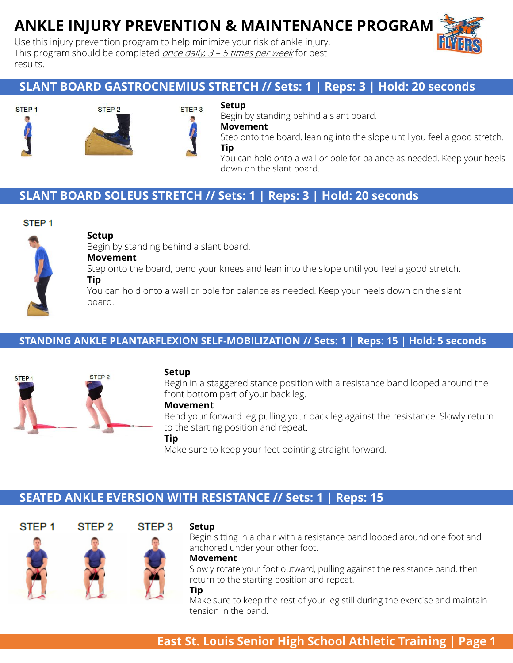# **ANKLE INJURY PREVENTION & MAINTENANCE PROGRAM**

Use this injury prevention program to help minimize your risk of ankle injury. This program should be completed  $\overline{once}$  daily,  $3 - 5$  times per week for best results.

# **SLANT BOARD GASTROCNEMIUS STRETCH // Sets: 1 | Reps: 3 | Hold: 20 seconds**





## **Setup**

Begin by standing behind a slant board.

**Movement**

Step onto the board, leaning into the slope until you feel a good stretch. **Tip**

You can hold onto a wall or pole for balance as needed. Keep your heels down on the slant board.

# **SLANT BOARD SOLEUS STRETCH // Sets: 1 | Reps: 3 | Hold: 20 seconds**

## STEP<sub>1</sub>



## **Setup**

Begin by standing behind a slant board.

## **Movement**

STEP<sub>2</sub>

Step onto the board, bend your knees and lean into the slope until you feel a good stretch.

## **Tip**

You can hold onto a wall or pole for balance as needed. Keep your heels down on the slant board.

## **STANDING ANKLE PLANTARFLEXION SELF-MOBILIZATION // Sets: 1 | Reps: 15 | Hold: 5 seconds**



#### **Setup**

Begin in a staggered stance position with a resistance band looped around the front bottom part of your back leg.

#### **Movement**

Bend your forward leg pulling your back leg against the resistance. Slowly return to the starting position and repeat.

#### **Tip**

Make sure to keep your feet pointing straight forward.

# **SEATED ANKLE EVERSION WITH RESISTANCE // Sets: 1 | Reps: 15**



#### **Setup**

Begin sitting in a chair with a resistance band looped around one foot and anchored under your other foot.

#### **Movement**

Slowly rotate your foot outward, pulling against the resistance band, then return to the starting position and repeat.

#### **Tip**

Make sure to keep the rest of your leg still during the exercise and maintain tension in the band.